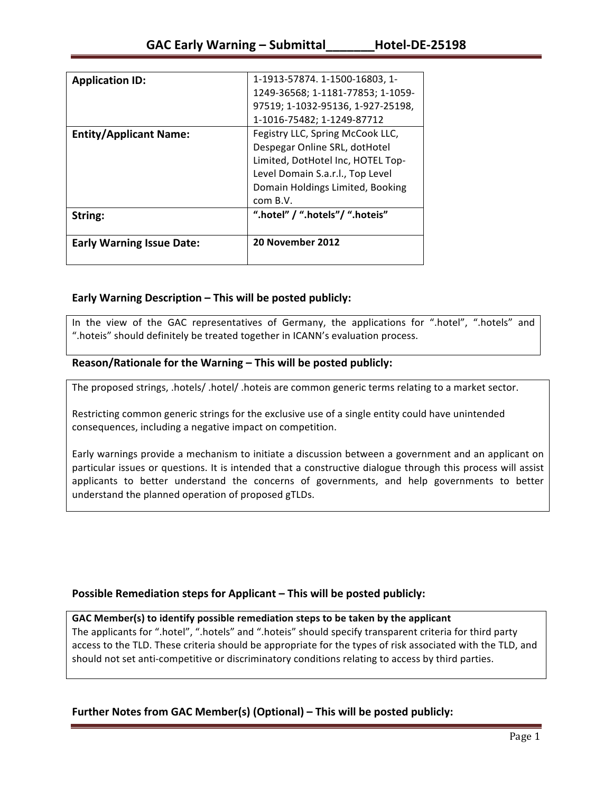| <b>Early Warning Issue Date:</b> | 20 November 2012                             |
|----------------------------------|----------------------------------------------|
| String:                          | ".hotel" / ".hotels"/ ".hoteis"              |
|                                  | Domain Holdings Limited, Booking<br>com B.V. |
|                                  | Level Domain S.a.r.l., Top Level             |
|                                  | Limited, DotHotel Inc, HOTEL Top-            |
|                                  | Despegar Online SRL, dotHotel                |
| <b>Entity/Applicant Name:</b>    | Fegistry LLC, Spring McCook LLC,             |
|                                  | 1-1016-75482; 1-1249-87712                   |
|                                  | 97519; 1-1032-95136, 1-927-25198,            |
|                                  | 1249-36568; 1-1181-77853; 1-1059-            |
| <b>Application ID:</b>           | 1-1913-57874. 1-1500-16803, 1-               |

## **Early Warning Description – This will be posted publicly:**

In the view of the GAC representatives of Germany, the applications for ".hotel", ".hotels" and ".hoteis" should definitely be treated together in ICANN's evaluation process.

### Reason/Rationale for the Warning – This will be posted publicly:

The proposed strings, .hotels/ .hotel/ .hoteis are common generic terms relating to a market sector.

Restricting common generic strings for the exclusive use of a single entity could have unintended consequences, including a negative impact on competition.

Early warnings provide a mechanism to initiate a discussion between a government and an applicant on particular issues or questions. It is intended that a constructive dialogue through this process will assist applicants to better understand the concerns of governments, and help governments to better understand the planned operation of proposed gTLDs.

## **Possible Remediation steps for Applicant – This will be posted publicly:**

### GAC Member(s) to identify possible remediation steps to be taken by the applicant

The applicants for ".hotel", ".hotels" and ".hoteis" should specify transparent criteria for third party access to the TLD. These criteria should be appropriate for the types of risk associated with the TLD, and should not set anti-competitive or discriminatory conditions relating to access by third parties.

## **Further Notes from GAC Member(s) (Optional)** – This will be posted publicly: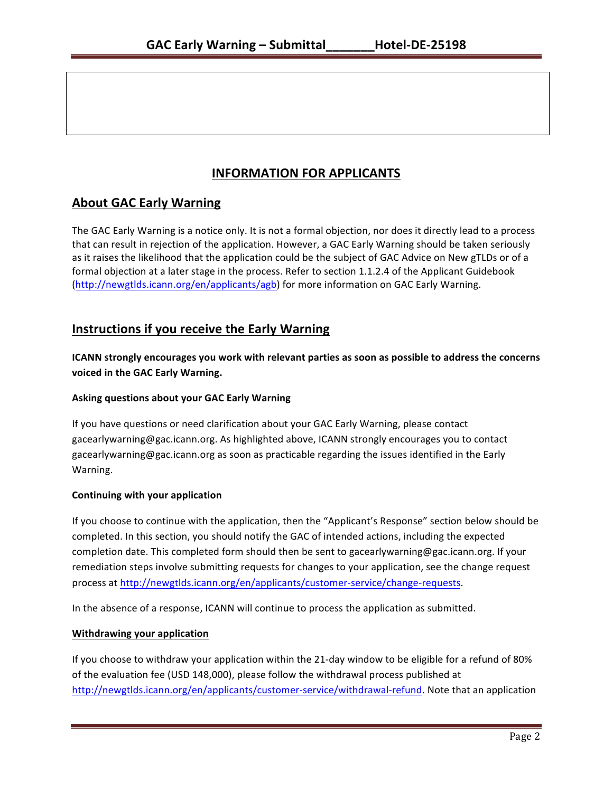# **INFORMATION FOR APPLICANTS**

# **About GAC Early Warning**

The GAC Early Warning is a notice only. It is not a formal objection, nor does it directly lead to a process that can result in rejection of the application. However, a GAC Early Warning should be taken seriously as it raises the likelihood that the application could be the subject of GAC Advice on New gTLDs or of a formal objection at a later stage in the process. Refer to section 1.1.2.4 of the Applicant Guidebook (http://newgtlds.icann.org/en/applicants/agb) for more information on GAC Early Warning.

## **Instructions if you receive the Early Warning**

**ICANN** strongly encourages you work with relevant parties as soon as possible to address the concerns **voiced in the GAC Early Warning.** 

### **Asking questions about your GAC Early Warning**

If you have questions or need clarification about your GAC Early Warning, please contact gacearlywarning@gac.icann.org. As highlighted above, ICANN strongly encourages you to contact gacearlywarning@gac.icann.org as soon as practicable regarding the issues identified in the Early Warning. 

### **Continuing with your application**

If you choose to continue with the application, then the "Applicant's Response" section below should be completed. In this section, you should notify the GAC of intended actions, including the expected completion date. This completed form should then be sent to gacearlywarning@gac.icann.org. If your remediation steps involve submitting requests for changes to your application, see the change request process at http://newgtlds.icann.org/en/applicants/customer-service/change-requests.

In the absence of a response, ICANN will continue to process the application as submitted.

### **Withdrawing your application**

If you choose to withdraw your application within the 21-day window to be eligible for a refund of 80% of the evaluation fee (USD 148,000), please follow the withdrawal process published at http://newgtlds.icann.org/en/applicants/customer-service/withdrawal-refund. Note that an application